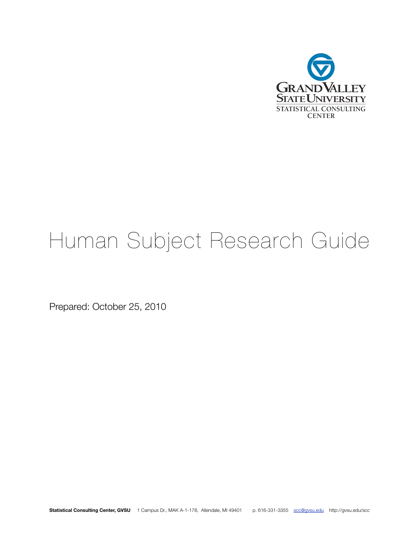

# Human Subject Research Guide

Prepared: October 25, 2010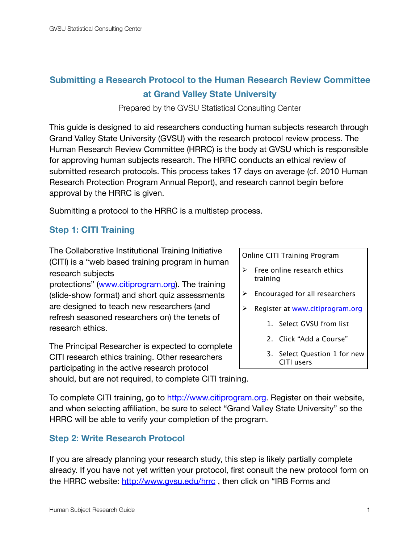## **Submitting a Research Protocol to the Human Research Review Committee at Grand Valley State University**

Prepared by the GVSU Statistical Consulting Center

This guide is designed to aid researchers conducting human subjects research through Grand Valley State University (GVSU) with the research protocol review process. The Human Research Review Committee (HRRC) is the body at GVSU which is responsible for approving human subjects research. The HRRC conducts an ethical review of submitted research protocols. This process takes 17 days on average (cf. 2010 Human Research Protection Program Annual Report), and research cannot begin before approval by the HRRC is given.

Submitting a protocol to the HRRC is a multistep process.

#### **Step 1: CITI Training**

The Collaborative Institutional Training Initiative (CITI) is a "web based training program in human research subjects

protections" [\(www.citiprogram.org\)](http://www.citiprogram.org). The training (slide-show format) and short quiz assessments are designed to teach new researchers (and refresh seasoned researchers on) the tenets of research ethics.

The Principal Researcher is expected to complete CITI research ethics training. Other researchers participating in the active research protocol

Online CITI Training Program

- $\triangleright$  Free online research ethics training
- $\triangleright$  Encouraged for all researchers
- ▶ Register at [www.citiprogram.org](http://www.citiprogram.org)
	- 1. Select GVSU from list
	- 2. Click "Add a Course"
	- 3. Select Question 1 for new CITI users

should, but are not required, to complete CITI training.

To complete CITI training, go to <http://www.citiprogram.org>. Register on their website, and when selecting affiliation, be sure to select "Grand Valley State University" so the HRRC will be able to verify your completion of the program.

### **Step 2: Write Research Protocol**

If you are already planning your research study, this step is likely partially complete already. If you have not yet written your protocol, first consult the new protocol form on the HRRC website: <http://www.gvsu.edu/hrrc> , then click on "IRB Forms and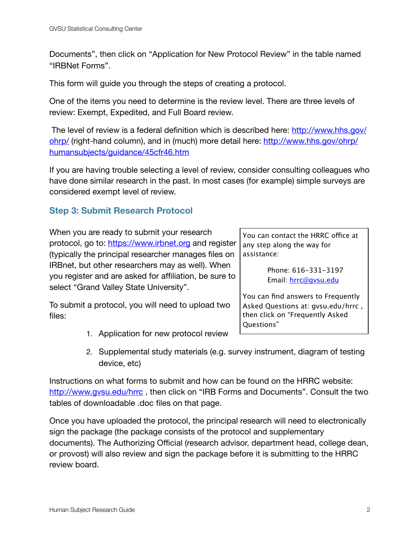Documents", then click on "Application for New Protocol Review" in the table named "IRBNet Forms".

This form will guide you through the steps of creating a protocol.

One of the items you need to determine is the review level. There are three levels of review: Exempt, Expedited, and Full Board review.

The level of review is a federal definition which is described here: [http://www.hhs.gov/](http://www.hhs.gov/ohrp/) [ohrp/](http://www.hhs.gov/ohrp/) (right-hand column), and in (much) more detail here: [http://www.hhs.gov/ohrp/](http://www.hhs.gov/ohrp/humansubjects/guidance/45cfr46.htm) [humansubjects/guidance/45cfr46.htm](http://www.hhs.gov/ohrp/humansubjects/guidance/45cfr46.htm)

If you are having trouble selecting a level of review, consider consulting colleagues who have done similar research in the past. In most cases (for example) simple surveys are considered exempt level of review.

#### **Step 3: Submit Research Protocol**

When you are ready to submit your research protocol, go to: <https://www.irbnet.org>and register (typically the principal researcher manages files on IRBnet, but other researchers may as well). When you register and are asked for affiliation, be sure to select "Grand Valley State University".

To submit a protocol, you will need to upload two files:

- 1. Application for new protocol review
- 2. Supplemental study materials (e.g. survey instrument, diagram of testing device, etc)

Instructions on what forms to submit and how can be found on the HRRC website: http://www.gysu.edu/hrrc, then click on "IRB Forms and Documents". Consult the two tables of downloadable .doc files on that page.

Once you have uploaded the protocol, the principal research will need to electronically sign the package (the package consists of the protocol and supplementary documents). The Authorizing Official (research advisor, department head, college dean, or provost) will also review and sign the package before it is submitting to the HRRC review board.

You can contact the HRRC office at any step along the way for assistance:

> Phone: 616-331-3197 Email: [hrrc@gvsu.edu](mailto:hrrc@gvsu.edu)

You can find answers to Frequently Asked Questions at: gvsu.edu/hrrc , then click on "Frequently Asked Questions"